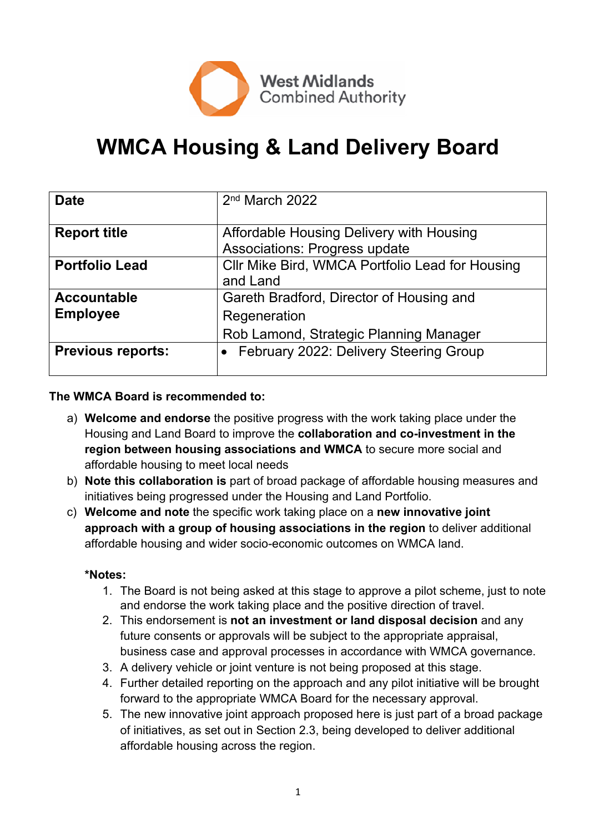

# **WMCA Housing & Land Delivery Board**

| <b>Date</b>              | 2 <sup>nd</sup> March 2022                                                       |
|--------------------------|----------------------------------------------------------------------------------|
| <b>Report title</b>      | Affordable Housing Delivery with Housing<br><b>Associations: Progress update</b> |
| <b>Portfolio Lead</b>    | Cllr Mike Bird, WMCA Portfolio Lead for Housing<br>and Land                      |
| <b>Accountable</b>       | Gareth Bradford, Director of Housing and                                         |
| <b>Employee</b>          | Regeneration                                                                     |
|                          | Rob Lamond, Strategic Planning Manager                                           |
| <b>Previous reports:</b> | • February 2022: Delivery Steering Group                                         |

#### **The WMCA Board is recommended to:**

- a) **Welcome and endorse** the positive progress with the work taking place under the Housing and Land Board to improve the **collaboration and co-investment in the region between housing associations and WMCA** to secure more social and affordable housing to meet local needs
- b) **Note this collaboration is** part of broad package of affordable housing measures and initiatives being progressed under the Housing and Land Portfolio.
- c) **Welcome and note** the specific work taking place on a **new innovative joint approach with a group of housing associations in the region** to deliver additional affordable housing and wider socio-economic outcomes on WMCA land.

#### **\*Notes:**

- 1. The Board is not being asked at this stage to approve a pilot scheme, just to note and endorse the work taking place and the positive direction of travel.
- 2. This endorsement is **not an investment or land disposal decision** and any future consents or approvals will be subject to the appropriate appraisal, business case and approval processes in accordance with WMCA governance.
- 3. A delivery vehicle or joint venture is not being proposed at this stage.
- 4. Further detailed reporting on the approach and any pilot initiative will be brought forward to the appropriate WMCA Board for the necessary approval.
- 5. The new innovative joint approach proposed here is just part of a broad package of initiatives, as set out in Section 2.3, being developed to deliver additional affordable housing across the region.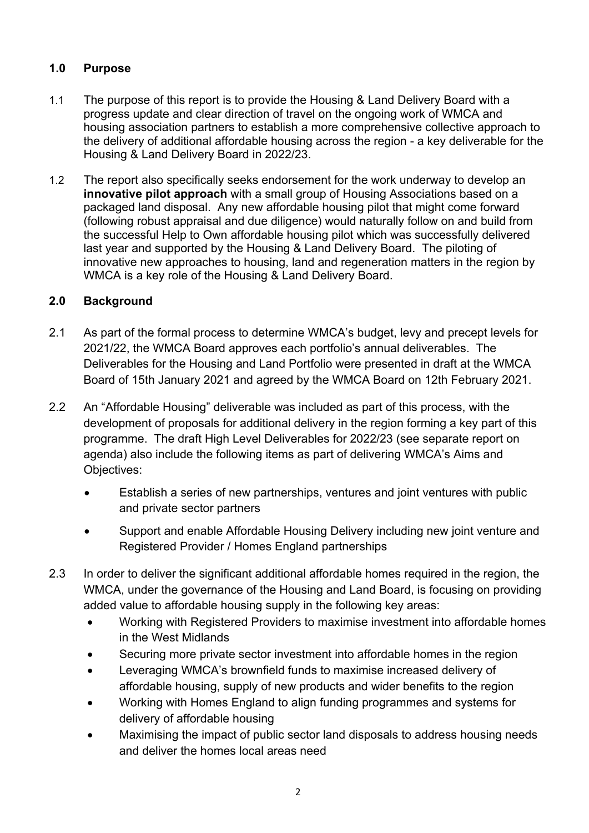# **1.0 Purpose**

- 1.1 The purpose of this report is to provide the Housing & Land Delivery Board with a progress update and clear direction of travel on the ongoing work of WMCA and housing association partners to establish a more comprehensive collective approach to the delivery of additional affordable housing across the region - a key deliverable for the Housing & Land Delivery Board in 2022/23.
- 1.2 The report also specifically seeks endorsement for the work underway to develop an **innovative pilot approach** with a small group of Housing Associations based on a packaged land disposal. Any new affordable housing pilot that might come forward (following robust appraisal and due diligence) would naturally follow on and build from the successful Help to Own affordable housing pilot which was successfully delivered last year and supported by the Housing & Land Delivery Board. The piloting of innovative new approaches to housing, land and regeneration matters in the region by WMCA is a key role of the Housing & Land Delivery Board.

# **2.0 Background**

- 2.1 As part of the formal process to determine WMCA's budget, levy and precept levels for 2021/22, the WMCA Board approves each portfolio's annual deliverables. The Deliverables for the Housing and Land Portfolio were presented in draft at the WMCA Board of 15th January 2021 and agreed by the WMCA Board on 12th February 2021.
- 2.2 An "Affordable Housing" deliverable was included as part of this process, with the development of proposals for additional delivery in the region forming a key part of this programme. The draft High Level Deliverables for 2022/23 (see separate report on agenda) also include the following items as part of delivering WMCA's Aims and Objectives:
	- Establish a series of new partnerships, ventures and joint ventures with public and private sector partners
	- Support and enable Affordable Housing Delivery including new joint venture and Registered Provider / Homes England partnerships
- 2.3 In order to deliver the significant additional affordable homes required in the region, the WMCA, under the governance of the Housing and Land Board, is focusing on providing added value to affordable housing supply in the following key areas:
	- Working with Registered Providers to maximise investment into affordable homes in the West Midlands
	- Securing more private sector investment into affordable homes in the region
	- Leveraging WMCA's brownfield funds to maximise increased delivery of affordable housing, supply of new products and wider benefits to the region
	- Working with Homes England to align funding programmes and systems for delivery of affordable housing
	- Maximising the impact of public sector land disposals to address housing needs and deliver the homes local areas need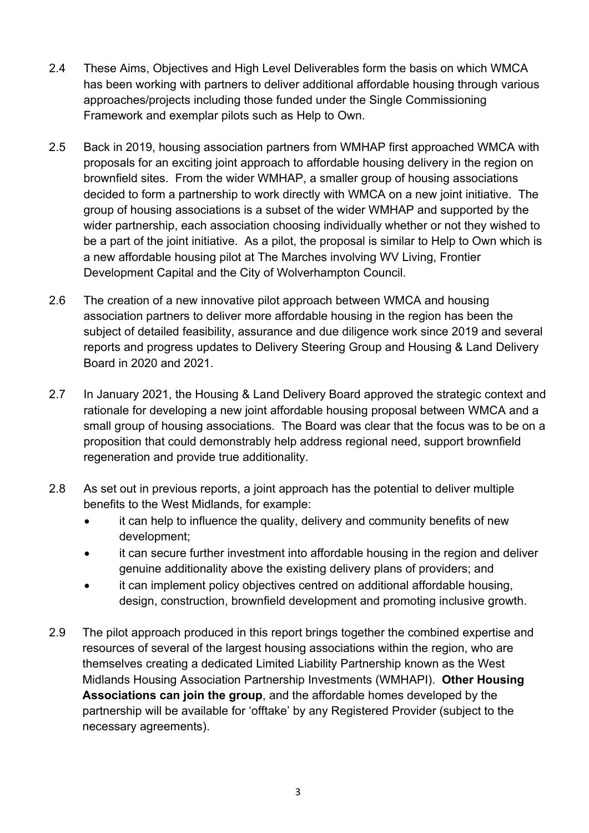- 2.4 These Aims, Objectives and High Level Deliverables form the basis on which WMCA has been working with partners to deliver additional affordable housing through various approaches/projects including those funded under the Single Commissioning Framework and exemplar pilots such as Help to Own.
- 2.5 Back in 2019, housing association partners from WMHAP first approached WMCA with proposals for an exciting joint approach to affordable housing delivery in the region on brownfield sites. From the wider WMHAP, a smaller group of housing associations decided to form a partnership to work directly with WMCA on a new joint initiative. The group of housing associations is a subset of the wider WMHAP and supported by the wider partnership, each association choosing individually whether or not they wished to be a part of the joint initiative. As a pilot, the proposal is similar to Help to Own which is a new affordable housing pilot at The Marches involving WV Living, Frontier Development Capital and the City of Wolverhampton Council.
- 2.6 The creation of a new innovative pilot approach between WMCA and housing association partners to deliver more affordable housing in the region has been the subject of detailed feasibility, assurance and due diligence work since 2019 and several reports and progress updates to Delivery Steering Group and Housing & Land Delivery Board in 2020 and 2021.
- 2.7 In January 2021, the Housing & Land Delivery Board approved the strategic context and rationale for developing a new joint affordable housing proposal between WMCA and a small group of housing associations. The Board was clear that the focus was to be on a proposition that could demonstrably help address regional need, support brownfield regeneration and provide true additionality.
- 2.8 As set out in previous reports, a joint approach has the potential to deliver multiple benefits to the West Midlands, for example:
	- it can help to influence the quality, delivery and community benefits of new development;
	- it can secure further investment into affordable housing in the region and deliver genuine additionality above the existing delivery plans of providers; and
	- it can implement policy objectives centred on additional affordable housing, design, construction, brownfield development and promoting inclusive growth.
- 2.9 The pilot approach produced in this report brings together the combined expertise and resources of several of the largest housing associations within the region, who are themselves creating a dedicated Limited Liability Partnership known as the West Midlands Housing Association Partnership Investments (WMHAPI). **Other Housing Associations can join the group**, and the affordable homes developed by the partnership will be available for 'offtake' by any Registered Provider (subject to the necessary agreements).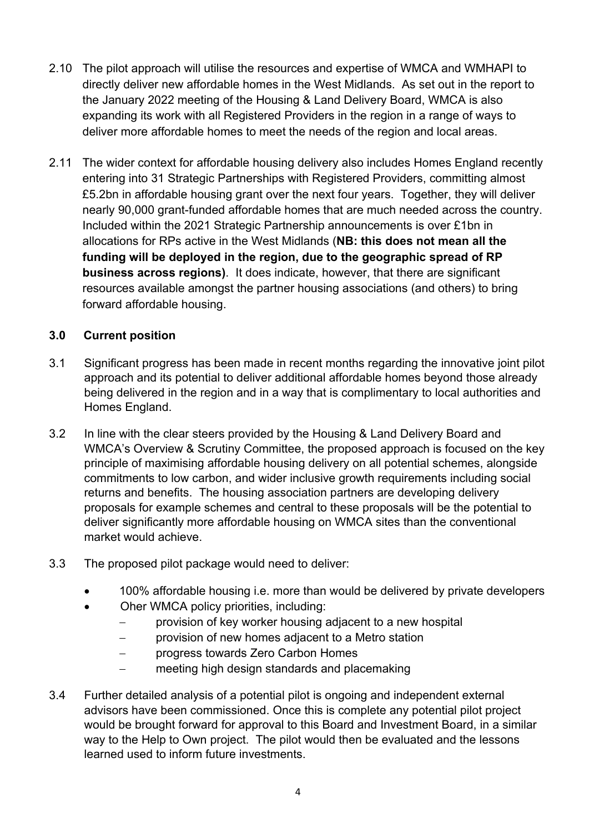- 2.10 The pilot approach will utilise the resources and expertise of WMCA and WMHAPI to directly deliver new affordable homes in the West Midlands. As set out in the report to the January 2022 meeting of the Housing & Land Delivery Board, WMCA is also expanding its work with all Registered Providers in the region in a range of ways to deliver more affordable homes to meet the needs of the region and local areas.
- 2.11 The wider context for affordable housing delivery also includes Homes England recently entering into 31 Strategic Partnerships with Registered Providers, committing almost £5.2bn in affordable housing grant over the next four years. Together, they will deliver nearly 90,000 grant-funded affordable homes that are much needed across the country. Included within the 2021 Strategic Partnership announcements is over £1bn in allocations for RPs active in the West Midlands (**NB: this does not mean all the funding will be deployed in the region, due to the geographic spread of RP business across regions)**. It does indicate, however, that there are significant resources available amongst the partner housing associations (and others) to bring forward affordable housing.

# **3.0 Current position**

- 3.1 Significant progress has been made in recent months regarding the innovative joint pilot approach and its potential to deliver additional affordable homes beyond those already being delivered in the region and in a way that is complimentary to local authorities and Homes England.
- 3.2 In line with the clear steers provided by the Housing & Land Delivery Board and WMCA's Overview & Scrutiny Committee, the proposed approach is focused on the key principle of maximising affordable housing delivery on all potential schemes, alongside commitments to low carbon, and wider inclusive growth requirements including social returns and benefits. The housing association partners are developing delivery proposals for example schemes and central to these proposals will be the potential to deliver significantly more affordable housing on WMCA sites than the conventional market would achieve.
- 3.3 The proposed pilot package would need to deliver:
	- 100% affordable housing i.e. more than would be delivered by private developers
	- Oher WMCA policy priorities, including:
		- provision of key worker housing adjacent to a new hospital
		- provision of new homes adjacent to a Metro station
		- progress towards Zero Carbon Homes
		- meeting high design standards and placemaking
- 3.4 Further detailed analysis of a potential pilot is ongoing and independent external advisors have been commissioned. Once this is complete any potential pilot project would be brought forward for approval to this Board and Investment Board, in a similar way to the Help to Own project. The pilot would then be evaluated and the lessons learned used to inform future investments.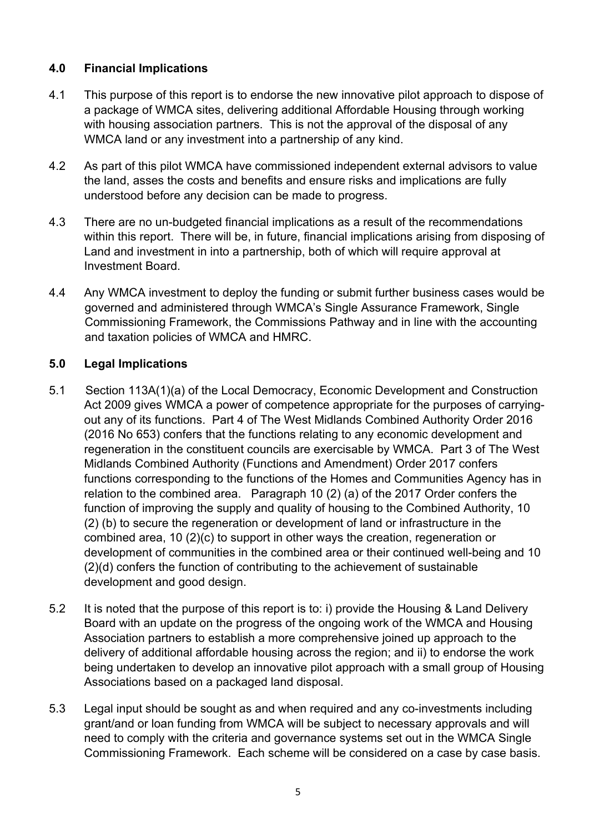# **4.0 Financial Implications**

- 4.1 This purpose of this report is to endorse the new innovative pilot approach to dispose of a package of WMCA sites, delivering additional Affordable Housing through working with housing association partners. This is not the approval of the disposal of any WMCA land or any investment into a partnership of any kind.
- 4.2 As part of this pilot WMCA have commissioned independent external advisors to value the land, asses the costs and benefits and ensure risks and implications are fully understood before any decision can be made to progress.
- 4.3 There are no un-budgeted financial implications as a result of the recommendations within this report. There will be, in future, financial implications arising from disposing of Land and investment in into a partnership, both of which will require approval at Investment Board.
- 4.4 Any WMCA investment to deploy the funding or submit further business cases would be governed and administered through WMCA's Single Assurance Framework, Single Commissioning Framework, the Commissions Pathway and in line with the accounting and taxation policies of WMCA and HMRC.

### **5.0 Legal Implications**

- 5.1 Section 113A(1)(a) of the Local Democracy, Economic Development and Construction Act 2009 gives WMCA a power of competence appropriate for the purposes of carryingout any of its functions. Part 4 of The West Midlands Combined Authority Order 2016 (2016 No 653) confers that the functions relating to any economic development and regeneration in the constituent councils are exercisable by WMCA. Part 3 of The West Midlands Combined Authority (Functions and Amendment) Order 2017 confers functions corresponding to the functions of the Homes and Communities Agency has in relation to the combined area. Paragraph 10 (2) (a) of the 2017 Order confers the function of improving the supply and quality of housing to the Combined Authority, 10 (2) (b) to secure the regeneration or development of land or infrastructure in the combined area, 10 (2)(c) to support in other ways the creation, regeneration or development of communities in the combined area or their continued well-being and 10 (2)(d) confers the function of contributing to the achievement of sustainable development and good design.
- 5.2 It is noted that the purpose of this report is to: i) provide the Housing & Land Delivery Board with an update on the progress of the ongoing work of the WMCA and Housing Association partners to establish a more comprehensive joined up approach to the delivery of additional affordable housing across the region; and ii) to endorse the work being undertaken to develop an innovative pilot approach with a small group of Housing Associations based on a packaged land disposal.
- 5.3 Legal input should be sought as and when required and any co-investments including grant/and or loan funding from WMCA will be subject to necessary approvals and will need to comply with the criteria and governance systems set out in the WMCA Single Commissioning Framework. Each scheme will be considered on a case by case basis.